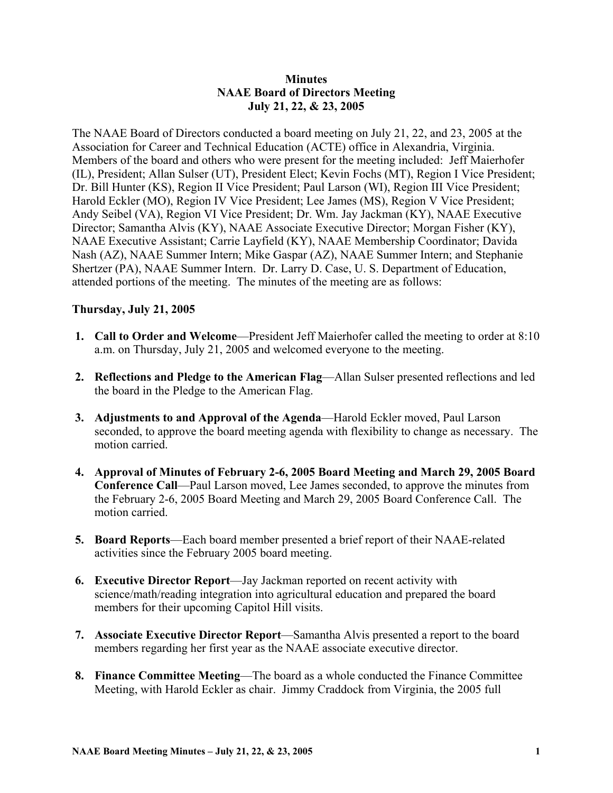## **Minutes NAAE Board of Directors Meeting July 21, 22, & 23, 2005**

The NAAE Board of Directors conducted a board meeting on July 21, 22, and 23, 2005 at the Association for Career and Technical Education (ACTE) office in Alexandria, Virginia. Members of the board and others who were present for the meeting included: Jeff Maierhofer (IL), President; Allan Sulser (UT), President Elect; Kevin Fochs (MT), Region I Vice President; Dr. Bill Hunter (KS), Region II Vice President; Paul Larson (WI), Region III Vice President; Harold Eckler (MO), Region IV Vice President; Lee James (MS), Region V Vice President; Andy Seibel (VA), Region VI Vice President; Dr. Wm. Jay Jackman (KY), NAAE Executive Director; Samantha Alvis (KY), NAAE Associate Executive Director; Morgan Fisher (KY), NAAE Executive Assistant; Carrie Layfield (KY), NAAE Membership Coordinator; Davida Nash (AZ), NAAE Summer Intern; Mike Gaspar (AZ), NAAE Summer Intern; and Stephanie Shertzer (PA), NAAE Summer Intern. Dr. Larry D. Case, U. S. Department of Education, attended portions of the meeting. The minutes of the meeting are as follows:

## **Thursday, July 21, 2005**

- **1. Call to Order and Welcome**—President Jeff Maierhofer called the meeting to order at 8:10 a.m. on Thursday, July 21, 2005 and welcomed everyone to the meeting.
- **2. Reflections and Pledge to the American Flag**—Allan Sulser presented reflections and led the board in the Pledge to the American Flag.
- **3. Adjustments to and Approval of the Agenda**—Harold Eckler moved, Paul Larson seconded, to approve the board meeting agenda with flexibility to change as necessary. The motion carried.
- **4. Approval of Minutes of February 2-6, 2005 Board Meeting and March 29, 2005 Board Conference Call**—Paul Larson moved, Lee James seconded, to approve the minutes from the February 2-6, 2005 Board Meeting and March 29, 2005 Board Conference Call. The motion carried.
- **5. Board Reports**—Each board member presented a brief report of their NAAE-related activities since the February 2005 board meeting.
- **6. Executive Director Report**—Jay Jackman reported on recent activity with science/math/reading integration into agricultural education and prepared the board members for their upcoming Capitol Hill visits.
- **7. Associate Executive Director Report**—Samantha Alvis presented a report to the board members regarding her first year as the NAAE associate executive director.
- **8. Finance Committee Meeting**—The board as a whole conducted the Finance Committee Meeting, with Harold Eckler as chair. Jimmy Craddock from Virginia, the 2005 full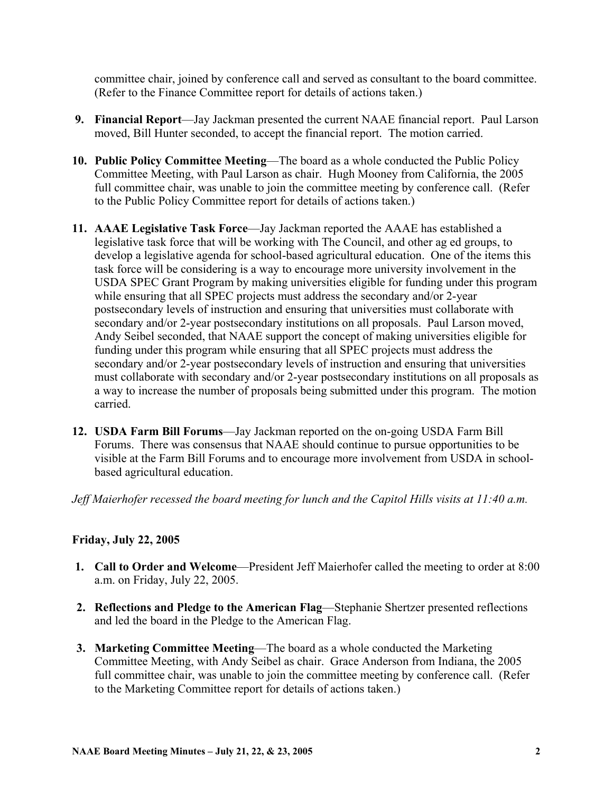committee chair, joined by conference call and served as consultant to the board committee. (Refer to the Finance Committee report for details of actions taken.)

- **9. Financial Report**—Jay Jackman presented the current NAAE financial report. Paul Larson moved, Bill Hunter seconded, to accept the financial report. The motion carried.
- **10. Public Policy Committee Meeting**—The board as a whole conducted the Public Policy Committee Meeting, with Paul Larson as chair. Hugh Mooney from California, the 2005 full committee chair, was unable to join the committee meeting by conference call. (Refer to the Public Policy Committee report for details of actions taken.)
- **11. AAAE Legislative Task Force**—Jay Jackman reported the AAAE has established a legislative task force that will be working with The Council, and other ag ed groups, to develop a legislative agenda for school-based agricultural education. One of the items this task force will be considering is a way to encourage more university involvement in the USDA SPEC Grant Program by making universities eligible for funding under this program while ensuring that all SPEC projects must address the secondary and/or 2-year postsecondary levels of instruction and ensuring that universities must collaborate with secondary and/or 2-year postsecondary institutions on all proposals. Paul Larson moved, Andy Seibel seconded, that NAAE support the concept of making universities eligible for funding under this program while ensuring that all SPEC projects must address the secondary and/or 2-year postsecondary levels of instruction and ensuring that universities must collaborate with secondary and/or 2-year postsecondary institutions on all proposals as a way to increase the number of proposals being submitted under this program. The motion carried.
- **12. USDA Farm Bill Forums**—Jay Jackman reported on the on-going USDA Farm Bill Forums. There was consensus that NAAE should continue to pursue opportunities to be visible at the Farm Bill Forums and to encourage more involvement from USDA in schoolbased agricultural education.

*Jeff Maierhofer recessed the board meeting for lunch and the Capitol Hills visits at 11:40 a.m.* 

## **Friday, July 22, 2005**

- **1. Call to Order and Welcome**—President Jeff Maierhofer called the meeting to order at 8:00 a.m. on Friday, July 22, 2005.
- **2. Reflections and Pledge to the American Flag**—Stephanie Shertzer presented reflections and led the board in the Pledge to the American Flag.
- **3. Marketing Committee Meeting**—The board as a whole conducted the Marketing Committee Meeting, with Andy Seibel as chair. Grace Anderson from Indiana, the 2005 full committee chair, was unable to join the committee meeting by conference call. (Refer to the Marketing Committee report for details of actions taken.)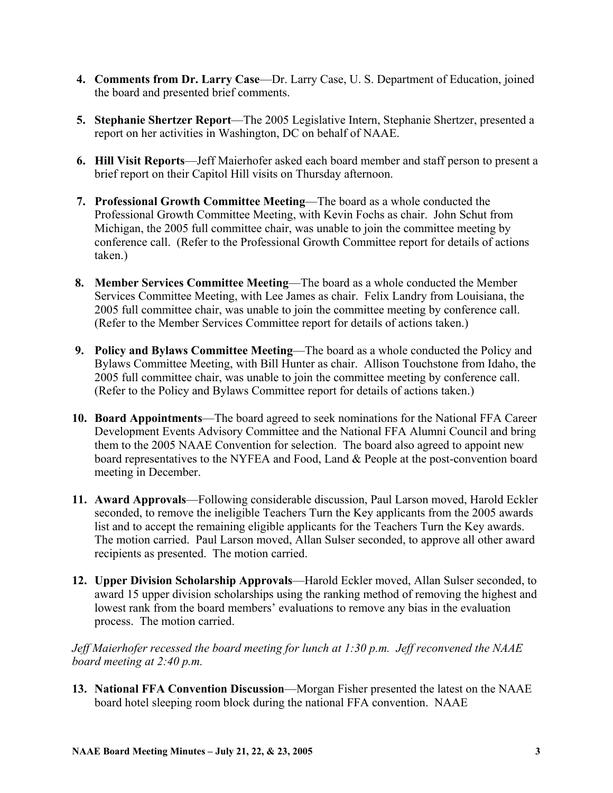- **4. Comments from Dr. Larry Case**—Dr. Larry Case, U. S. Department of Education, joined the board and presented brief comments.
- **5. Stephanie Shertzer Report**—The 2005 Legislative Intern, Stephanie Shertzer, presented a report on her activities in Washington, DC on behalf of NAAE.
- **6. Hill Visit Reports**—Jeff Maierhofer asked each board member and staff person to present a brief report on their Capitol Hill visits on Thursday afternoon.
- **7. Professional Growth Committee Meeting**—The board as a whole conducted the Professional Growth Committee Meeting, with Kevin Fochs as chair. John Schut from Michigan, the 2005 full committee chair, was unable to join the committee meeting by conference call. (Refer to the Professional Growth Committee report for details of actions taken.)
- **8. Member Services Committee Meeting**—The board as a whole conducted the Member Services Committee Meeting, with Lee James as chair. Felix Landry from Louisiana, the 2005 full committee chair, was unable to join the committee meeting by conference call. (Refer to the Member Services Committee report for details of actions taken.)
- **9. Policy and Bylaws Committee Meeting**—The board as a whole conducted the Policy and Bylaws Committee Meeting, with Bill Hunter as chair. Allison Touchstone from Idaho, the 2005 full committee chair, was unable to join the committee meeting by conference call. (Refer to the Policy and Bylaws Committee report for details of actions taken.)
- **10. Board Appointments**—The board agreed to seek nominations for the National FFA Career Development Events Advisory Committee and the National FFA Alumni Council and bring them to the 2005 NAAE Convention for selection. The board also agreed to appoint new board representatives to the NYFEA and Food, Land & People at the post-convention board meeting in December.
- **11. Award Approvals**—Following considerable discussion, Paul Larson moved, Harold Eckler seconded, to remove the ineligible Teachers Turn the Key applicants from the 2005 awards list and to accept the remaining eligible applicants for the Teachers Turn the Key awards. The motion carried. Paul Larson moved, Allan Sulser seconded, to approve all other award recipients as presented. The motion carried.
- **12. Upper Division Scholarship Approvals**—Harold Eckler moved, Allan Sulser seconded, to award 15 upper division scholarships using the ranking method of removing the highest and lowest rank from the board members' evaluations to remove any bias in the evaluation process. The motion carried.

*Jeff Maierhofer recessed the board meeting for lunch at 1:30 p.m. Jeff reconvened the NAAE board meeting at 2:40 p.m.* 

**13. National FFA Convention Discussion**—Morgan Fisher presented the latest on the NAAE board hotel sleeping room block during the national FFA convention. NAAE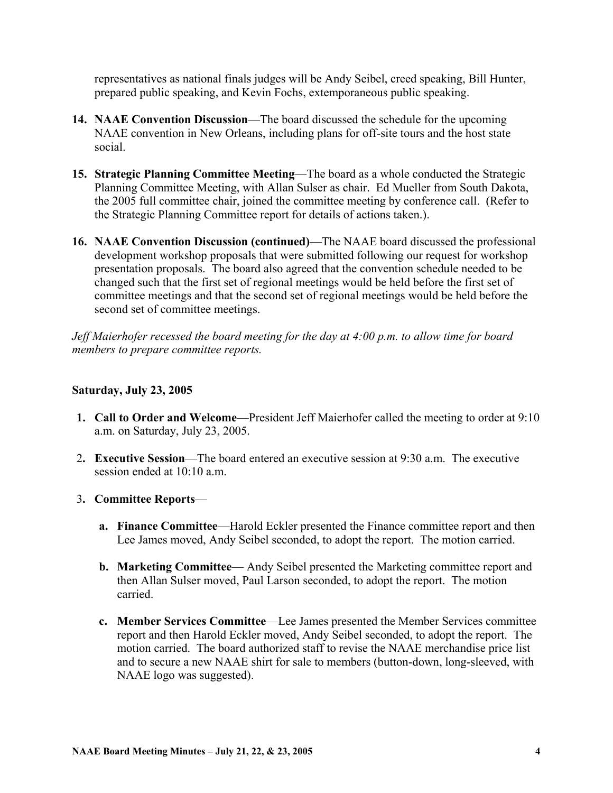representatives as national finals judges will be Andy Seibel, creed speaking, Bill Hunter, prepared public speaking, and Kevin Fochs, extemporaneous public speaking.

- **14. NAAE Convention Discussion**—The board discussed the schedule for the upcoming NAAE convention in New Orleans, including plans for off-site tours and the host state social.
- **15. Strategic Planning Committee Meeting**—The board as a whole conducted the Strategic Planning Committee Meeting, with Allan Sulser as chair. Ed Mueller from South Dakota, the 2005 full committee chair, joined the committee meeting by conference call. (Refer to the Strategic Planning Committee report for details of actions taken.).
- **16. NAAE Convention Discussion (continued)**—The NAAE board discussed the professional development workshop proposals that were submitted following our request for workshop presentation proposals. The board also agreed that the convention schedule needed to be changed such that the first set of regional meetings would be held before the first set of committee meetings and that the second set of regional meetings would be held before the second set of committee meetings.

*Jeff Maierhofer recessed the board meeting for the day at 4:00 p.m. to allow time for board members to prepare committee reports.* 

## **Saturday, July 23, 2005**

- **1. Call to Order and Welcome**—President Jeff Maierhofer called the meeting to order at 9:10 a.m. on Saturday, July 23, 2005.
- 2**. Executive Session**—The board entered an executive session at 9:30 a.m. The executive session ended at  $10:10$  a.m.
- 3**. Committee Reports**
	- **a. Finance Committee**—Harold Eckler presented the Finance committee report and then Lee James moved, Andy Seibel seconded, to adopt the report. The motion carried.
	- **b. Marketing Committee—** Andy Seibel presented the Marketing committee report and then Allan Sulser moved, Paul Larson seconded, to adopt the report. The motion carried.
	- **c. Member Services Committee**—Lee James presented the Member Services committee report and then Harold Eckler moved, Andy Seibel seconded, to adopt the report. The motion carried. The board authorized staff to revise the NAAE merchandise price list and to secure a new NAAE shirt for sale to members (button-down, long-sleeved, with NAAE logo was suggested).